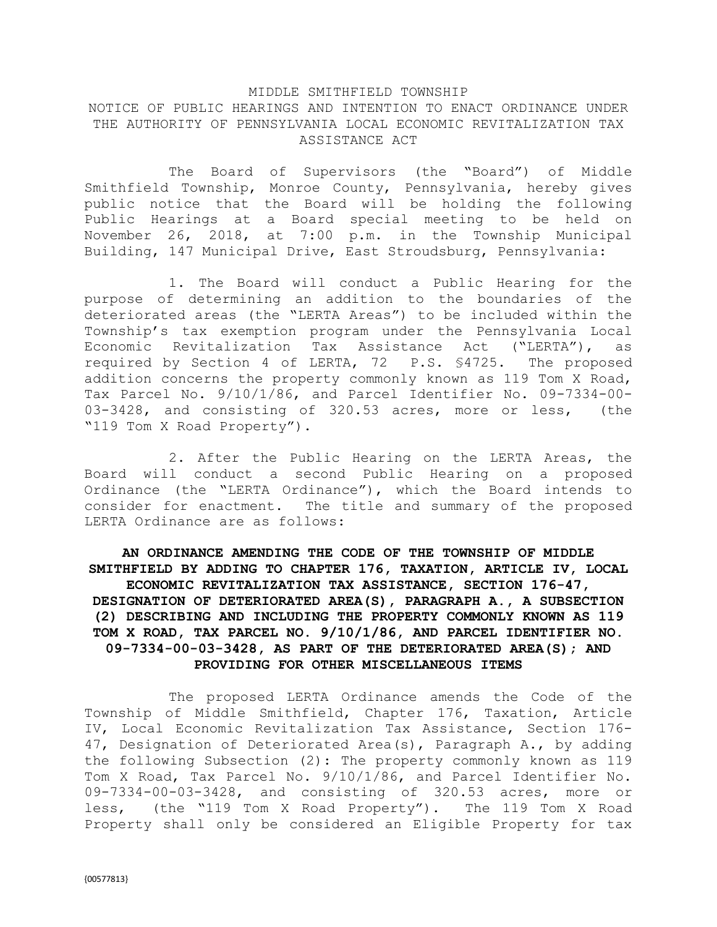## MIDDLE SMITHFIELD TOWNSHIP NOTICE OF PUBLIC HEARINGS AND INTENTION TO ENACT ORDINANCE UNDER THE AUTHORITY OF PENNSYLVANIA LOCAL ECONOMIC REVITALIZATION TAX ASSISTANCE ACT

The Board of Supervisors (the "Board") of Middle Smithfield Township, Monroe County, Pennsylvania, hereby gives public notice that the Board will be holding the following Public Hearings at a Board special meeting to be held on November 26, 2018, at 7:00 p.m. in the Township Municipal Building, 147 Municipal Drive, East Stroudsburg, Pennsylvania:

1. The Board will conduct a Public Hearing for the purpose of determining an addition to the boundaries of the deteriorated areas (the "LERTA Areas") to be included within the Township's tax exemption program under the Pennsylvania Local Economic Revitalization Tax Assistance Act ("LERTA"), as required by Section 4 of LERTA, 72 P.S. §4725. The proposed addition concerns the property commonly known as 119 Tom X Road, Tax Parcel No. 9/10/1/86, and Parcel Identifier No. 09-7334-00- 03-3428, and consisting of 320.53 acres, more or less, (the "119 Tom X Road Property").

2. After the Public Hearing on the LERTA Areas, the Board will conduct a second Public Hearing on a proposed Ordinance (the "LERTA Ordinance"), which the Board intends to consider for enactment. The title and summary of the proposed LERTA Ordinance are as follows:

## **AN ORDINANCE AMENDING THE CODE OF THE TOWNSHIP OF MIDDLE SMITHFIELD BY ADDING TO CHAPTER 176, TAXATION, ARTICLE IV, LOCAL ECONOMIC REVITALIZATION TAX ASSISTANCE, SECTION 176-47, DESIGNATION OF DETERIORATED AREA(S), PARAGRAPH A., A SUBSECTION (2) DESCRIBING AND INCLUDING THE PROPERTY COMMONLY KNOWN AS 119 TOM X ROAD, TAX PARCEL NO. 9/10/1/86, AND PARCEL IDENTIFIER NO. 09-7334-00-03-3428, AS PART OF THE DETERIORATED AREA(S); AND PROVIDING FOR OTHER MISCELLANEOUS ITEMS**

The proposed LERTA Ordinance amends the Code of the Township of Middle Smithfield, Chapter 176, Taxation, Article IV, Local Economic Revitalization Tax Assistance, Section 176- 47, Designation of Deteriorated Area(s), Paragraph A., by adding the following Subsection (2): The property commonly known as 119 Tom X Road, Tax Parcel No. 9/10/1/86, and Parcel Identifier No. 09-7334-00-03-3428, and consisting of 320.53 acres, more or less, (the "119 Tom X Road Property"). The 119 Tom X Road Property shall only be considered an Eligible Property for tax